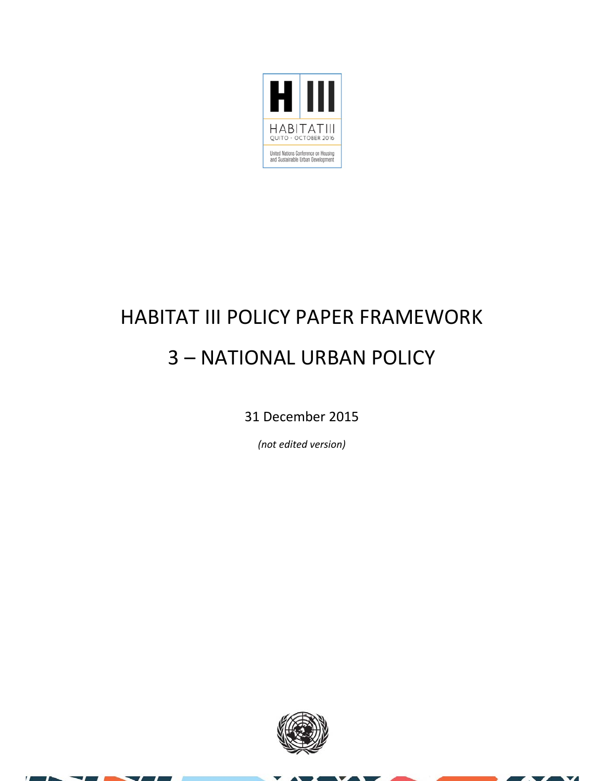

# HABITAT III POLICY PAPER FRAMEWORK 3 – NATIONAL URBAN POLICY

31 December 2015

*(not edited version)*



× z  $\overline{\mathbf{v}}$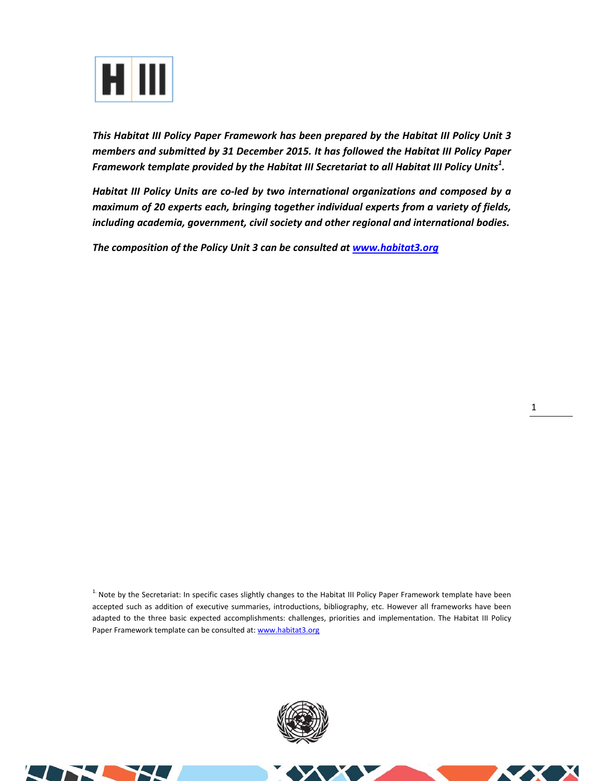

*This Habitat III Policy Paper Framework has been prepared by the Habitat III Policy Unit 3 members and submitted by 31 December 2015. It has followed the Habitat III Policy Paper Framework template provided by the Habitat III Secretariat to all Habitat III Policy Units<sup>1</sup> .* 

*Habitat III Policy Units are co‐led by two international organizations and composed by a maximum of 20 experts each, bringing together individual experts from a variety of fields, including academia, government, civil society and other regional and international bodies.* 

*The composition of the Policy Unit 3 can be consulted at www.habitat3.org* 

<sup>1.</sup> Note by the Secretariat: In specific cases slightly changes to the Habitat III Policy Paper Framework template have been accepted such as addition of executive summaries, introductions, bibliography, etc. However all frameworks have been adapted to the three basic expected accomplishments: challenges, priorities and implementation. The Habitat III Policy Paper Framework template can be consulted at: www.habitat3.org



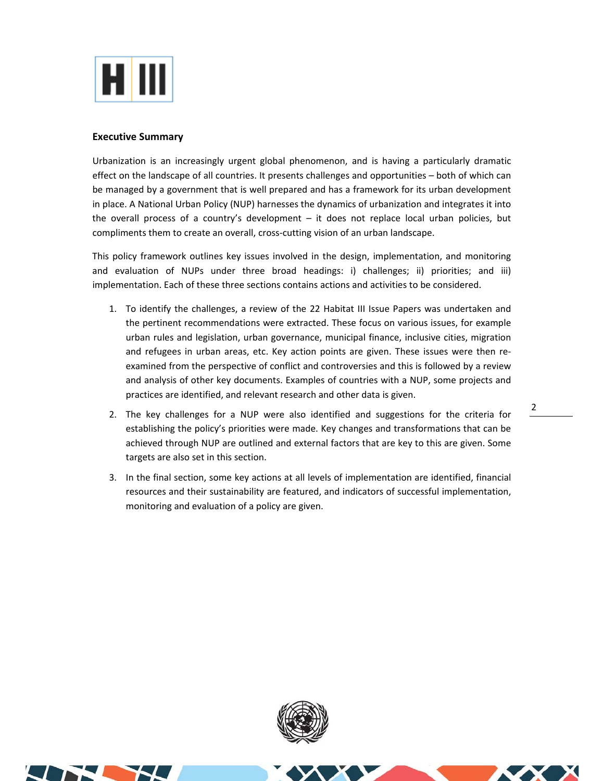

### **Executive Summary**

Urbanization is an increasingly urgent global phenomenon, and is having a particularly dramatic effect on the landscape of all countries. It presents challenges and opportunities – both of which can be managed by a government that is well prepared and has a framework for its urban development in place. A National Urban Policy (NUP) harnesses the dynamics of urbanization and integrates it into the overall process of a country's development – it does not replace local urban policies, but compliments them to create an overall, cross-cutting vision of an urban landscape.

This policy framework outlines key issues involved in the design, implementation, and monitoring and evaluation of NUPs under three broad headings: i) challenges; ii) priorities; and iii) implementation. Each of these three sections contains actions and activities to be considered.

- 1. To identify the challenges, a review of the 22 Habitat III Issue Papers was undertaken and the pertinent recommendations were extracted. These focus on various issues, for example urban rules and legislation, urban governance, municipal finance, inclusive cities, migration and refugees in urban areas, etc. Key action points are given. These issues were then reexamined from the perspective of conflict and controversies and this is followed by a review and analysis of other key documents. Examples of countries with a NUP, some projects and practices are identified, and relevant research and other data is given.
- 2. The key challenges for a NUP were also identified and suggestions for the criteria for establishing the policy's priorities were made. Key changes and transformations that can be achieved through NUP are outlined and external factors that are key to this are given. Some targets are also set in this section.
- 3. In the final section, some key actions at all levels of implementation are identified, financial resources and their sustainability are featured, and indicators of successful implementation, monitoring and evaluation of a policy are given.



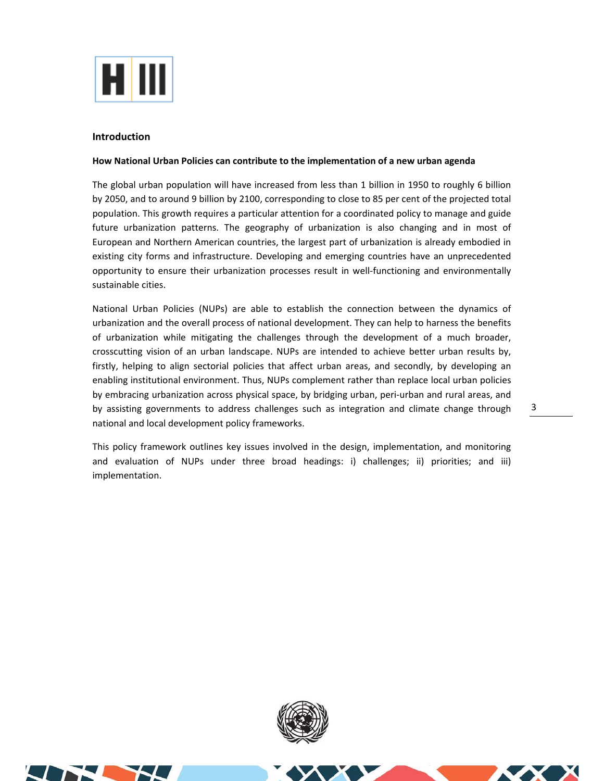

#### **Introduction**

#### **How National Urban Policies can contribute to the implementation of a new urban agenda**

The global urban population will have increased from less than 1 billion in 1950 to roughly 6 billion by 2050, and to around 9 billion by 2100, corresponding to close to 85 per cent of the projected total population. This growth requires a particular attention for a coordinated policy to manage and guide future urbanization patterns. The geography of urbanization is also changing and in most of European and Northern American countries, the largest part of urbanization is already embodied in existing city forms and infrastructure. Developing and emerging countries have an unprecedented opportunity to ensure their urbanization processes result in well-functioning and environmentally sustainable cities.

National Urban Policies (NUPs) are able to establish the connection between the dynamics of urbanization and the overall process of national development. They can help to harness the benefits of urbanization while mitigating the challenges through the development of a much broader, crosscutting vision of an urban landscape. NUPs are intended to achieve better urban results by, firstly, helping to align sectorial policies that affect urban areas, and secondly, by developing an enabling institutional environment. Thus, NUPs complement rather than replace local urban policies by embracing urbanization across physical space, by bridging urban, peri‐urban and rural areas, and by assisting governments to address challenges such as integration and climate change through national and local development policy frameworks.

This policy framework outlines key issues involved in the design, implementation, and monitoring and evaluation of NUPs under three broad headings: i) challenges; ii) priorities; and iii) implementation.

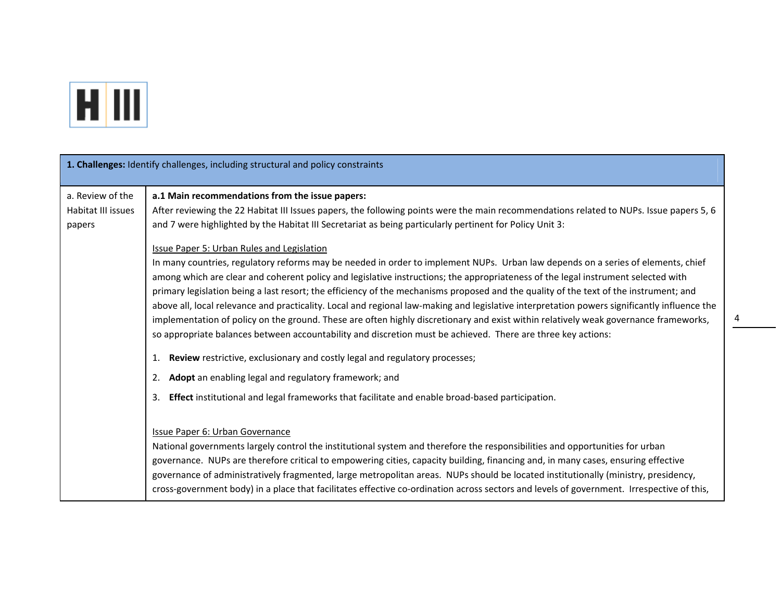

|                                                  | 1. Challenges: Identify challenges, including structural and policy constraints                                                                                                                                                                                                                                                                                                                                                                                                                                                                                                                                                                                                                                                                                        |
|--------------------------------------------------|------------------------------------------------------------------------------------------------------------------------------------------------------------------------------------------------------------------------------------------------------------------------------------------------------------------------------------------------------------------------------------------------------------------------------------------------------------------------------------------------------------------------------------------------------------------------------------------------------------------------------------------------------------------------------------------------------------------------------------------------------------------------|
| a. Review of the<br>Habitat III issues<br>papers | a.1 Main recommendations from the issue papers:<br>After reviewing the 22 Habitat III Issues papers, the following points were the main recommendations related to NUPs. Issue papers 5, 6<br>and 7 were highlighted by the Habitat III Secretariat as being particularly pertinent for Policy Unit 3:<br>Issue Paper 5: Urban Rules and Legislation<br>In many countries, regulatory reforms may be needed in order to implement NUPs. Urban law depends on a series of elements, chief<br>among which are clear and coherent policy and legislative instructions; the appropriateness of the legal instrument selected with<br>primary legislation being a last resort; the efficiency of the mechanisms proposed and the quality of the text of the instrument; and |
|                                                  | above all, local relevance and practicality. Local and regional law-making and legislative interpretation powers significantly influence the<br>implementation of policy on the ground. These are often highly discretionary and exist within relatively weak governance frameworks,<br>so appropriate balances between accountability and discretion must be achieved. There are three key actions:<br>Review restrictive, exclusionary and costly legal and regulatory processes;<br>1.<br>2. Adopt an enabling legal and regulatory framework; and<br>3. Effect institutional and legal frameworks that facilitate and enable broad-based participation.                                                                                                            |
|                                                  | Issue Paper 6: Urban Governance<br>National governments largely control the institutional system and therefore the responsibilities and opportunities for urban<br>governance. NUPs are therefore critical to empowering cities, capacity building, financing and, in many cases, ensuring effective<br>governance of administratively fragmented, large metropolitan areas. NUPs should be located institutionally (ministry, presidency,<br>cross-government body) in a place that facilitates effective co-ordination across sectors and levels of government. Irrespective of this,                                                                                                                                                                                |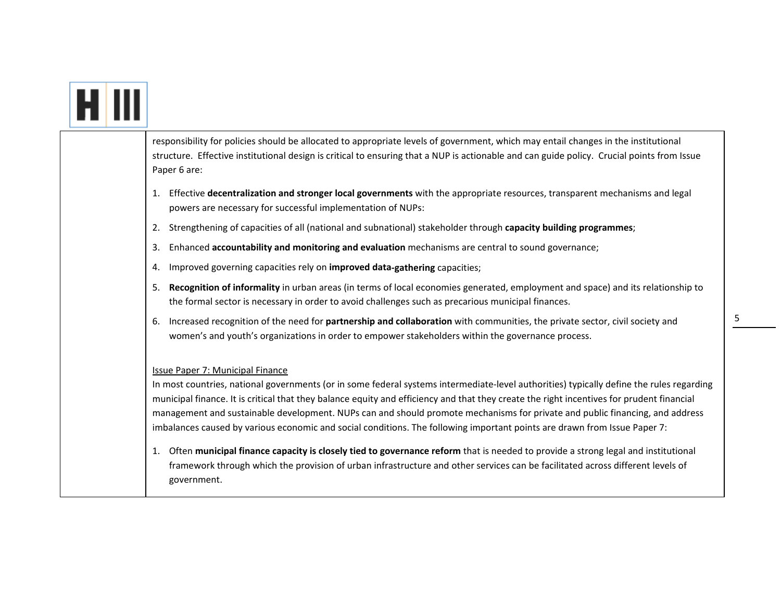| responsibility for policies should be allocated to appropriate levels of government, which may entail changes in the institutional<br>structure. Effective institutional design is critical to ensuring that a NUP is actionable and can guide policy. Crucial points from Issue<br>Paper 6 are:                                                                                                                                                                                                                                                                                                                                                                                                                                                                                                                                                                                      |
|---------------------------------------------------------------------------------------------------------------------------------------------------------------------------------------------------------------------------------------------------------------------------------------------------------------------------------------------------------------------------------------------------------------------------------------------------------------------------------------------------------------------------------------------------------------------------------------------------------------------------------------------------------------------------------------------------------------------------------------------------------------------------------------------------------------------------------------------------------------------------------------|
| Effective decentralization and stronger local governments with the appropriate resources, transparent mechanisms and legal<br>1.<br>powers are necessary for successful implementation of NUPs:                                                                                                                                                                                                                                                                                                                                                                                                                                                                                                                                                                                                                                                                                       |
| Strengthening of capacities of all (national and subnational) stakeholder through capacity building programmes;<br>2.                                                                                                                                                                                                                                                                                                                                                                                                                                                                                                                                                                                                                                                                                                                                                                 |
| Enhanced accountability and monitoring and evaluation mechanisms are central to sound governance;<br>3.                                                                                                                                                                                                                                                                                                                                                                                                                                                                                                                                                                                                                                                                                                                                                                               |
| Improved governing capacities rely on improved data-gathering capacities;<br>4.                                                                                                                                                                                                                                                                                                                                                                                                                                                                                                                                                                                                                                                                                                                                                                                                       |
| Recognition of informality in urban areas (in terms of local economies generated, employment and space) and its relationship to<br>5.<br>the formal sector is necessary in order to avoid challenges such as precarious municipal finances.                                                                                                                                                                                                                                                                                                                                                                                                                                                                                                                                                                                                                                           |
| Increased recognition of the need for partnership and collaboration with communities, the private sector, civil society and<br>-6.<br>women's and youth's organizations in order to empower stakeholders within the governance process.                                                                                                                                                                                                                                                                                                                                                                                                                                                                                                                                                                                                                                               |
| <b>Issue Paper 7: Municipal Finance</b><br>In most countries, national governments (or in some federal systems intermediate-level authorities) typically define the rules regarding<br>municipal finance. It is critical that they balance equity and efficiency and that they create the right incentives for prudent financial<br>management and sustainable development. NUPs can and should promote mechanisms for private and public financing, and address<br>imbalances caused by various economic and social conditions. The following important points are drawn from Issue Paper 7:<br>1. Often municipal finance capacity is closely tied to governance reform that is needed to provide a strong legal and institutional<br>framework through which the provision of urban infrastructure and other services can be facilitated across different levels of<br>government. |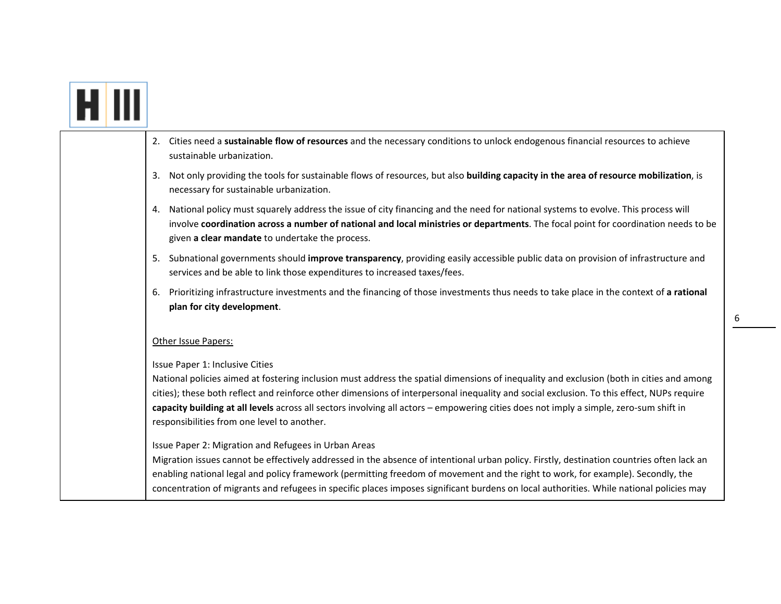|  | Cities need a sustainable flow of resources and the necessary conditions to unlock endogenous financial resources to achieve<br>2.<br>sustainable urbanization.                                                                                                                                                                                                                                                                                                                                                   |
|--|-------------------------------------------------------------------------------------------------------------------------------------------------------------------------------------------------------------------------------------------------------------------------------------------------------------------------------------------------------------------------------------------------------------------------------------------------------------------------------------------------------------------|
|  | Not only providing the tools for sustainable flows of resources, but also building capacity in the area of resource mobilization, is<br>3.<br>necessary for sustainable urbanization.                                                                                                                                                                                                                                                                                                                             |
|  | 4. National policy must squarely address the issue of city financing and the need for national systems to evolve. This process will<br>involve coordination across a number of national and local ministries or departments. The focal point for coordination needs to be<br>given a clear mandate to undertake the process.                                                                                                                                                                                      |
|  | 5. Subnational governments should improve transparency, providing easily accessible public data on provision of infrastructure and<br>services and be able to link those expenditures to increased taxes/fees.                                                                                                                                                                                                                                                                                                    |
|  | 6. Prioritizing infrastructure investments and the financing of those investments thus needs to take place in the context of a rational<br>plan for city development.                                                                                                                                                                                                                                                                                                                                             |
|  | Other Issue Papers:                                                                                                                                                                                                                                                                                                                                                                                                                                                                                               |
|  | Issue Paper 1: Inclusive Cities<br>National policies aimed at fostering inclusion must address the spatial dimensions of inequality and exclusion (both in cities and among<br>cities); these both reflect and reinforce other dimensions of interpersonal inequality and social exclusion. To this effect, NUPs require<br>capacity building at all levels across all sectors involving all actors - empowering cities does not imply a simple, zero-sum shift in<br>responsibilities from one level to another. |
|  | Issue Paper 2: Migration and Refugees in Urban Areas<br>Migration issues cannot be effectively addressed in the absence of intentional urban policy. Firstly, destination countries often lack an<br>enabling national legal and policy framework (permitting freedom of movement and the right to work, for example). Secondly, the<br>concentration of migrants and refugees in specific places imposes significant burdens on local authorities. While national policies may                                   |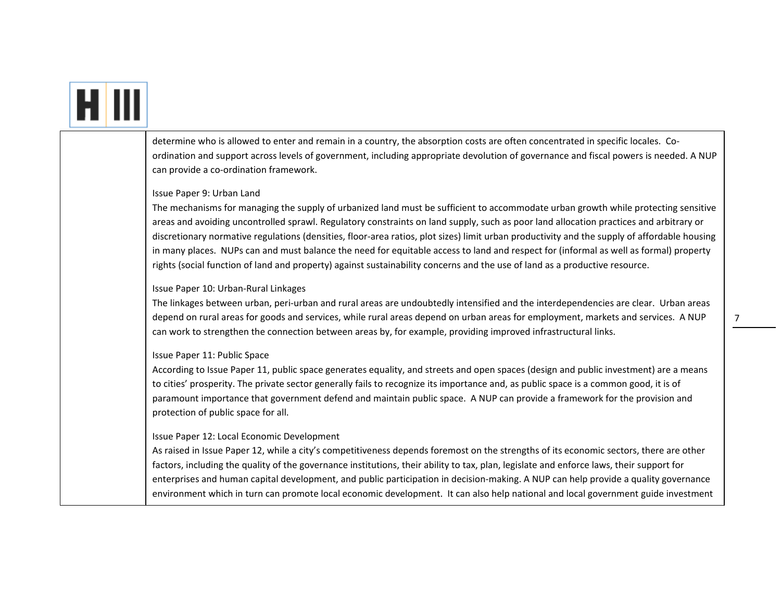# H III

determine who is allowed to enter and remain in <sup>a</sup> country, the absorption costs are often concentrated in specific locales. Co‐ ordination and support across levels of government, including appropriate devolution of governance and fiscal powers is needed. A NUP can provide <sup>a</sup> co‐ordination framework.

#### Issue Paper 9: Urban Land

The mechanisms for managing the supply of urbanized land must be sufficient to accommodate urban growth while protecting sensitive areas and avoiding uncontrolled sprawl. Regulatory constraints on land supply, such as poor land allocation practices and arbitrary or discretionary normative regulations (densities, floor-area ratios, plot sizes) limit urban productivity and the supply of affordable housing in many places. NUPs can and must balance the need for equitable access to land and respect for (informal as well as formal) property rights (social function of land and property) against sustainability concerns and the use of land as <sup>a</sup> productive resource.

#### Issue Paper 10: Urban‐Rural Linkages

The linkages between urban, peri‐urban and rural areas are undoubtedly intensified and the interdependencies are clear. Urban areas depend on rural areas for goods and services, while rural areas depend on urban areas for employment, markets and services. A NUP can work to strengthen the connection between areas by, for example, providing improved infrastructural links.

#### Issue Paper 11: Public Space

According to Issue Paper 11, public space generates equality, and streets and open spaces (design and public investment) are <sup>a</sup> means to cities' prosperity. The private sector generally fails to recognize its importance and, as public space is <sup>a</sup> common good, it is of paramount importance that government defend and maintain public space. A NUP can provide <sup>a</sup> framework for the provision and protection of public space for all.

#### Issue Paper 12: Local Economic Development

As raised in Issue Paper 12, while <sup>a</sup> city's competitiveness depends foremost on the strengths of its economic sectors, there are other factors, including the quality of the governance institutions, their ability to tax, plan, legislate and enforce laws, their support for enterprises and human capital development, and public participation in decision-making. A NUP can help provide a quality governance environment which in turn can promote local economic development. It can also help national and local government guide investment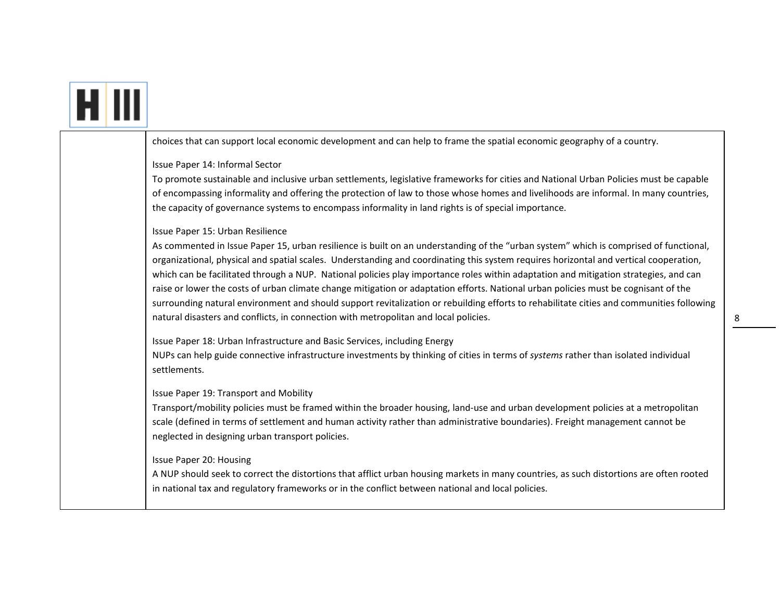# H III

choices that can support local economic development and can help to frame the spatial economic geography of <sup>a</sup> country.

### Issue Paper 14: Informal Sector

To promote sustainable and inclusive urban settlements, legislative frameworks for cities and National Urban Policies must be capable of encompassing informality and offering the protection of law to those whose homes and livelihoods are informal. In many countries, the capacity of governance systems to encompass informality in land rights is of special importance.

# Issue Paper 15: Urban Resilience

As commented in Issue Paper 15, urban resilience is built on an understanding of the "urban system" which is comprised of functional, organizational, physical and spatial scales. Understanding and coordinating this system requires horizontal and vertical cooperation, which can be facilitated through <sup>a</sup> NUP. National policies play importance roles within adaptation and mitigation strategies, and can raise or lower the costs of urban climate change mitigation or adaptation efforts. National urban policies must be cognisant of the surrounding natural environment and should support revitalization or rebuilding efforts to rehabilitate cities and communities following natural disasters and conflicts, in connection with metropolitan and local policies.

Issue Paper 18: Urban Infrastructure and Basic Services, including Energy

NUPs can help guide connective infrastructure investments by thinking of cities in terms of *systems* rather than isolated individual settlements.

# Issue Paper 19: Transport and Mobility

Transport/mobility policies must be framed within the broader housing, land‐use and urban development policies at <sup>a</sup> metropolitan scale (defined in terms of settlement and human activity rather than administrative boundaries). Freight management cannot be neglected in designing urban transport policies.

# Issue Paper 20: Housing

A NUP should seek to correct the distortions that afflict urban housing markets in many countries, as such distortions are often rooted in national tax and regulatory frameworks or in the conflict between national and local policies.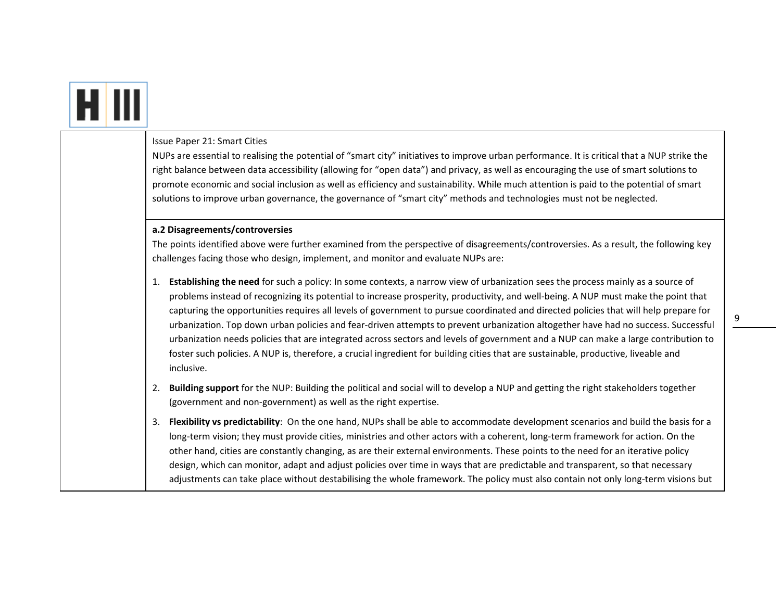|  | Issue Paper 21: Smart Cities<br>NUPs are essential to realising the potential of "smart city" initiatives to improve urban performance. It is critical that a NUP strike the<br>right balance between data accessibility (allowing for "open data") and privacy, as well as encouraging the use of smart solutions to<br>promote economic and social inclusion as well as efficiency and sustainability. While much attention is paid to the potential of smart<br>solutions to improve urban governance, the governance of "smart city" methods and technologies must not be neglected.                                                                                                                                                                                                                                                        |
|--|-------------------------------------------------------------------------------------------------------------------------------------------------------------------------------------------------------------------------------------------------------------------------------------------------------------------------------------------------------------------------------------------------------------------------------------------------------------------------------------------------------------------------------------------------------------------------------------------------------------------------------------------------------------------------------------------------------------------------------------------------------------------------------------------------------------------------------------------------|
|  | a.2 Disagreements/controversies<br>The points identified above were further examined from the perspective of disagreements/controversies. As a result, the following key<br>challenges facing those who design, implement, and monitor and evaluate NUPs are:                                                                                                                                                                                                                                                                                                                                                                                                                                                                                                                                                                                   |
|  | 1. Establishing the need for such a policy: In some contexts, a narrow view of urbanization sees the process mainly as a source of<br>problems instead of recognizing its potential to increase prosperity, productivity, and well-being. A NUP must make the point that<br>capturing the opportunities requires all levels of government to pursue coordinated and directed policies that will help prepare for<br>urbanization. Top down urban policies and fear-driven attempts to prevent urbanization altogether have had no success. Successful<br>urbanization needs policies that are integrated across sectors and levels of government and a NUP can make a large contribution to<br>foster such policies. A NUP is, therefore, a crucial ingredient for building cities that are sustainable, productive, liveable and<br>inclusive. |
|  | Building support for the NUP: Building the political and social will to develop a NUP and getting the right stakeholders together<br>2.<br>(government and non-government) as well as the right expertise.                                                                                                                                                                                                                                                                                                                                                                                                                                                                                                                                                                                                                                      |
|  | Flexibility vs predictability: On the one hand, NUPs shall be able to accommodate development scenarios and build the basis for a<br>3.<br>long-term vision; they must provide cities, ministries and other actors with a coherent, long-term framework for action. On the<br>other hand, cities are constantly changing, as are their external environments. These points to the need for an iterative policy<br>design, which can monitor, adapt and adjust policies over time in ways that are predictable and transparent, so that necessary<br>adjustments can take place without destabilising the whole framework. The policy must also contain not only long-term visions but                                                                                                                                                           |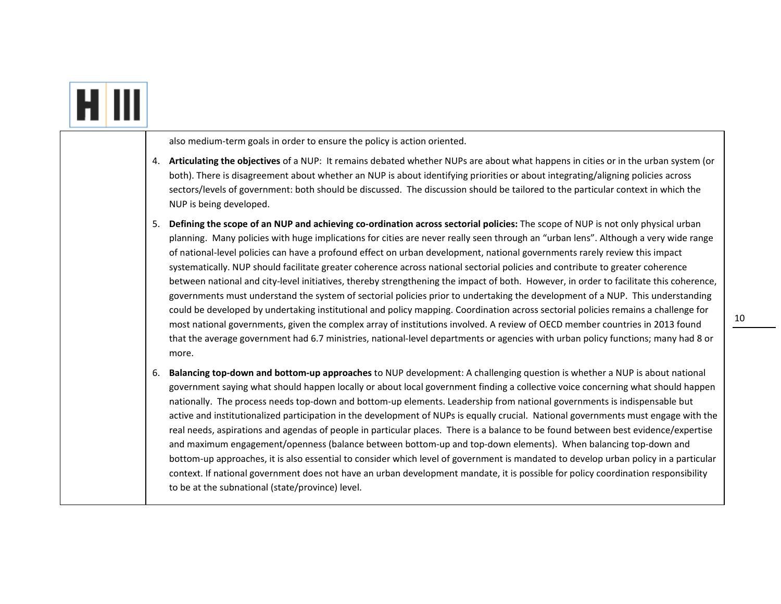|  |    | also medium-term goals in order to ensure the policy is action oriented.                                                                                                                                                                                                                                                                                                                                                                                                                                                                                                                                                                                                                                                                                                                                                                                                                                                                                                                                                                                                                                                                                                                                                               |
|--|----|----------------------------------------------------------------------------------------------------------------------------------------------------------------------------------------------------------------------------------------------------------------------------------------------------------------------------------------------------------------------------------------------------------------------------------------------------------------------------------------------------------------------------------------------------------------------------------------------------------------------------------------------------------------------------------------------------------------------------------------------------------------------------------------------------------------------------------------------------------------------------------------------------------------------------------------------------------------------------------------------------------------------------------------------------------------------------------------------------------------------------------------------------------------------------------------------------------------------------------------|
|  | 4. | Articulating the objectives of a NUP: It remains debated whether NUPs are about what happens in cities or in the urban system (or<br>both). There is disagreement about whether an NUP is about identifying priorities or about integrating/aligning policies across<br>sectors/levels of government: both should be discussed. The discussion should be tailored to the particular context in which the<br>NUP is being developed.                                                                                                                                                                                                                                                                                                                                                                                                                                                                                                                                                                                                                                                                                                                                                                                                    |
|  | 5. | Defining the scope of an NUP and achieving co-ordination across sectorial policies: The scope of NUP is not only physical urban<br>planning. Many policies with huge implications for cities are never really seen through an "urban lens". Although a very wide range<br>of national-level policies can have a profound effect on urban development, national governments rarely review this impact<br>systematically. NUP should facilitate greater coherence across national sectorial policies and contribute to greater coherence<br>between national and city-level initiatives, thereby strengthening the impact of both. However, in order to facilitate this coherence,<br>governments must understand the system of sectorial policies prior to undertaking the development of a NUP. This understanding<br>could be developed by undertaking institutional and policy mapping. Coordination across sectorial policies remains a challenge for<br>most national governments, given the complex array of institutions involved. A review of OECD member countries in 2013 found<br>that the average government had 6.7 ministries, national-level departments or agencies with urban policy functions; many had 8 or<br>more. |
|  | 6. | Balancing top-down and bottom-up approaches to NUP development: A challenging question is whether a NUP is about national<br>government saying what should happen locally or about local government finding a collective voice concerning what should happen<br>nationally. The process needs top-down and bottom-up elements. Leadership from national governments is indispensable but<br>active and institutionalized participation in the development of NUPs is equally crucial. National governments must engage with the<br>real needs, aspirations and agendas of people in particular places. There is a balance to be found between best evidence/expertise<br>and maximum engagement/openness (balance between bottom-up and top-down elements). When balancing top-down and<br>bottom-up approaches, it is also essential to consider which level of government is mandated to develop urban policy in a particular<br>context. If national government does not have an urban development mandate, it is possible for policy coordination responsibility<br>to be at the subnational (state/province) level.                                                                                                               |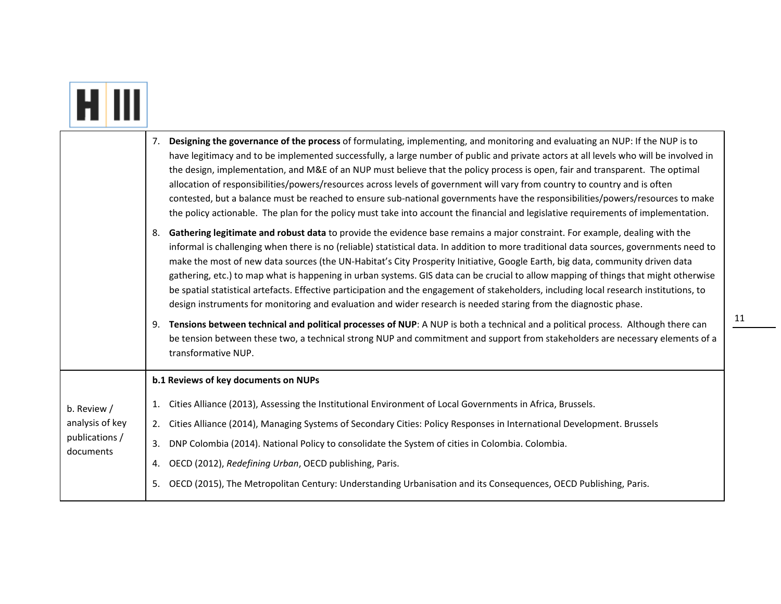|                             | Designing the governance of the process of formulating, implementing, and monitoring and evaluating an NUP: If the NUP is to<br>7.<br>have legitimacy and to be implemented successfully, a large number of public and private actors at all levels who will be involved in<br>the design, implementation, and M&E of an NUP must believe that the policy process is open, fair and transparent. The optimal<br>allocation of responsibilities/powers/resources across levels of government will vary from country to country and is often<br>contested, but a balance must be reached to ensure sub-national governments have the responsibilities/powers/resources to make<br>the policy actionable. The plan for the policy must take into account the financial and legislative requirements of implementation. |
|-----------------------------|---------------------------------------------------------------------------------------------------------------------------------------------------------------------------------------------------------------------------------------------------------------------------------------------------------------------------------------------------------------------------------------------------------------------------------------------------------------------------------------------------------------------------------------------------------------------------------------------------------------------------------------------------------------------------------------------------------------------------------------------------------------------------------------------------------------------|
|                             | Gathering legitimate and robust data to provide the evidence base remains a major constraint. For example, dealing with the<br>8.<br>informal is challenging when there is no (reliable) statistical data. In addition to more traditional data sources, governments need to<br>make the most of new data sources (the UN-Habitat's City Prosperity Initiative, Google Earth, big data, community driven data<br>gathering, etc.) to map what is happening in urban systems. GIS data can be crucial to allow mapping of things that might otherwise<br>be spatial statistical artefacts. Effective participation and the engagement of stakeholders, including local research institutions, to<br>design instruments for monitoring and evaluation and wider research is needed staring from the diagnostic phase. |
|                             | Tensions between technical and political processes of NUP: A NUP is both a technical and a political process. Although there can<br>9.<br>be tension between these two, a technical strong NUP and commitment and support from stakeholders are necessary elements of a<br>transformative NUP.                                                                                                                                                                                                                                                                                                                                                                                                                                                                                                                      |
|                             | b.1 Reviews of key documents on NUPs                                                                                                                                                                                                                                                                                                                                                                                                                                                                                                                                                                                                                                                                                                                                                                                |
| b. Review /                 | Cities Alliance (2013), Assessing the Institutional Environment of Local Governments in Africa, Brussels.<br>1.                                                                                                                                                                                                                                                                                                                                                                                                                                                                                                                                                                                                                                                                                                     |
| analysis of key             | Cities Alliance (2014), Managing Systems of Secondary Cities: Policy Responses in International Development. Brussels<br>2.                                                                                                                                                                                                                                                                                                                                                                                                                                                                                                                                                                                                                                                                                         |
| publications /<br>documents | DNP Colombia (2014). National Policy to consolidate the System of cities in Colombia. Colombia.<br>3.                                                                                                                                                                                                                                                                                                                                                                                                                                                                                                                                                                                                                                                                                                               |
|                             | OECD (2012), Redefining Urban, OECD publishing, Paris.<br>4.                                                                                                                                                                                                                                                                                                                                                                                                                                                                                                                                                                                                                                                                                                                                                        |
|                             | OECD (2015), The Metropolitan Century: Understanding Urbanisation and its Consequences, OECD Publishing, Paris.<br>5.                                                                                                                                                                                                                                                                                                                                                                                                                                                                                                                                                                                                                                                                                               |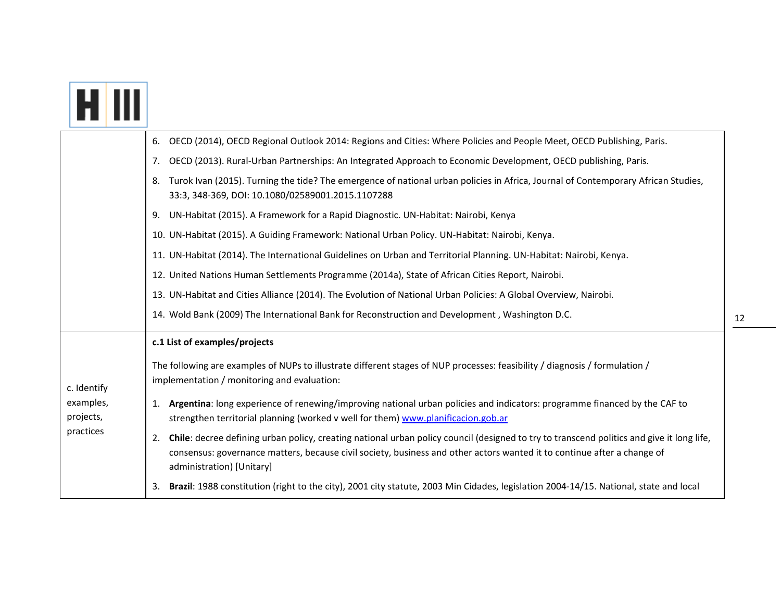| <b>FATIL</b> |  |
|--------------|--|

|                        | OECD (2014), OECD Regional Outlook 2014: Regions and Cities: Where Policies and People Meet, OECD Publishing, Paris.<br>6.                                                                                                                                                                              |
|------------------------|---------------------------------------------------------------------------------------------------------------------------------------------------------------------------------------------------------------------------------------------------------------------------------------------------------|
|                        | OECD (2013). Rural-Urban Partnerships: An Integrated Approach to Economic Development, OECD publishing, Paris.<br>7.                                                                                                                                                                                    |
|                        | Turok Ivan (2015). Turning the tide? The emergence of national urban policies in Africa, Journal of Contemporary African Studies,<br>8.<br>33:3, 348-369, DOI: 10.1080/02589001.2015.1107288                                                                                                            |
|                        | UN-Habitat (2015). A Framework for a Rapid Diagnostic. UN-Habitat: Nairobi, Kenya<br>9.                                                                                                                                                                                                                 |
|                        | 10. UN-Habitat (2015). A Guiding Framework: National Urban Policy. UN-Habitat: Nairobi, Kenya.                                                                                                                                                                                                          |
|                        | 11. UN-Habitat (2014). The International Guidelines on Urban and Territorial Planning. UN-Habitat: Nairobi, Kenya.                                                                                                                                                                                      |
|                        | 12. United Nations Human Settlements Programme (2014a), State of African Cities Report, Nairobi.                                                                                                                                                                                                        |
|                        | 13. UN-Habitat and Cities Alliance (2014). The Evolution of National Urban Policies: A Global Overview, Nairobi.                                                                                                                                                                                        |
|                        | 14. Wold Bank (2009) The International Bank for Reconstruction and Development, Washington D.C.                                                                                                                                                                                                         |
|                        | c.1 List of examples/projects                                                                                                                                                                                                                                                                           |
| c. Identify            | The following are examples of NUPs to illustrate different stages of NUP processes: feasibility / diagnosis / formulation /<br>implementation / monitoring and evaluation:                                                                                                                              |
| examples,<br>projects, | Argentina: long experience of renewing/improving national urban policies and indicators: programme financed by the CAF to<br>1.<br>strengthen territorial planning (worked v well for them) www.planificacion.gob.ar                                                                                    |
| practices              | Chile: decree defining urban policy, creating national urban policy council (designed to try to transcend politics and give it long life,<br>2.<br>consensus: governance matters, because civil society, business and other actors wanted it to continue after a change of<br>administration) [Unitary] |
|                        | Brazil: 1988 constitution (right to the city), 2001 city statute, 2003 Min Cidades, legislation 2004-14/15. National, state and local<br>3.                                                                                                                                                             |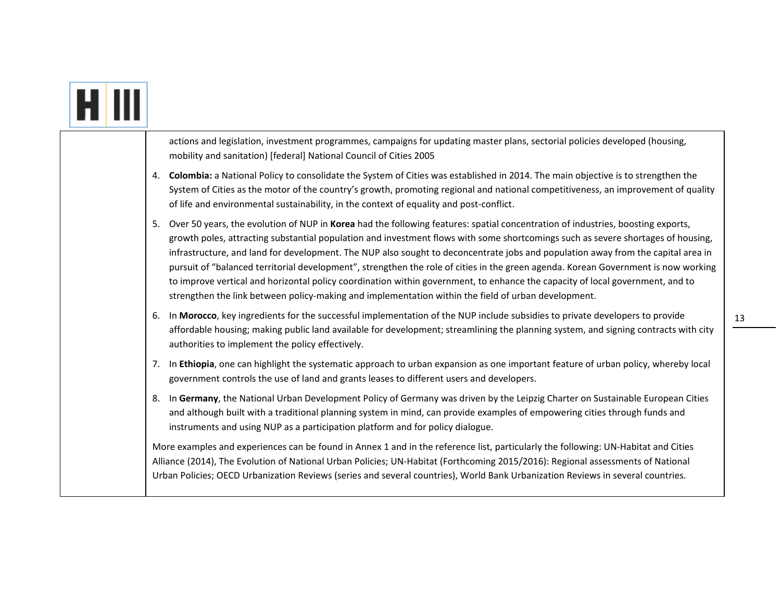|  | actions and legislation, investment programmes, campaigns for updating master plans, sectorial policies developed (housing,<br>mobility and sanitation) [federal] National Council of Cities 2005                                                                                                                                                                                                                                                                                                                                                                                                                                                                                                                                                                                           |
|--|---------------------------------------------------------------------------------------------------------------------------------------------------------------------------------------------------------------------------------------------------------------------------------------------------------------------------------------------------------------------------------------------------------------------------------------------------------------------------------------------------------------------------------------------------------------------------------------------------------------------------------------------------------------------------------------------------------------------------------------------------------------------------------------------|
|  | 4. Colombia: a National Policy to consolidate the System of Cities was established in 2014. The main objective is to strengthen the<br>System of Cities as the motor of the country's growth, promoting regional and national competitiveness, an improvement of quality<br>of life and environmental sustainability, in the context of equality and post-conflict.                                                                                                                                                                                                                                                                                                                                                                                                                         |
|  | Over 50 years, the evolution of NUP in Korea had the following features: spatial concentration of industries, boosting exports,<br>5.<br>growth poles, attracting substantial population and investment flows with some shortcomings such as severe shortages of housing,<br>infrastructure, and land for development. The NUP also sought to deconcentrate jobs and population away from the capital area in<br>pursuit of "balanced territorial development", strengthen the role of cities in the green agenda. Korean Government is now working<br>to improve vertical and horizontal policy coordination within government, to enhance the capacity of local government, and to<br>strengthen the link between policy-making and implementation within the field of urban development. |
|  | In Morocco, key ingredients for the successful implementation of the NUP include subsidies to private developers to provide<br>6.<br>affordable housing; making public land available for development; streamlining the planning system, and signing contracts with city<br>authorities to implement the policy effectively.                                                                                                                                                                                                                                                                                                                                                                                                                                                                |
|  | 7. In Ethiopia, one can highlight the systematic approach to urban expansion as one important feature of urban policy, whereby local<br>government controls the use of land and grants leases to different users and developers.                                                                                                                                                                                                                                                                                                                                                                                                                                                                                                                                                            |
|  | In Germany, the National Urban Development Policy of Germany was driven by the Leipzig Charter on Sustainable European Cities<br>8.<br>and although built with a traditional planning system in mind, can provide examples of empowering cities through funds and<br>instruments and using NUP as a participation platform and for policy dialogue.                                                                                                                                                                                                                                                                                                                                                                                                                                         |
|  | More examples and experiences can be found in Annex 1 and in the reference list, particularly the following: UN-Habitat and Cities<br>Alliance (2014), The Evolution of National Urban Policies; UN-Habitat (Forthcoming 2015/2016): Regional assessments of National<br>Urban Policies; OECD Urbanization Reviews (series and several countries), World Bank Urbanization Reviews in several countries.                                                                                                                                                                                                                                                                                                                                                                                    |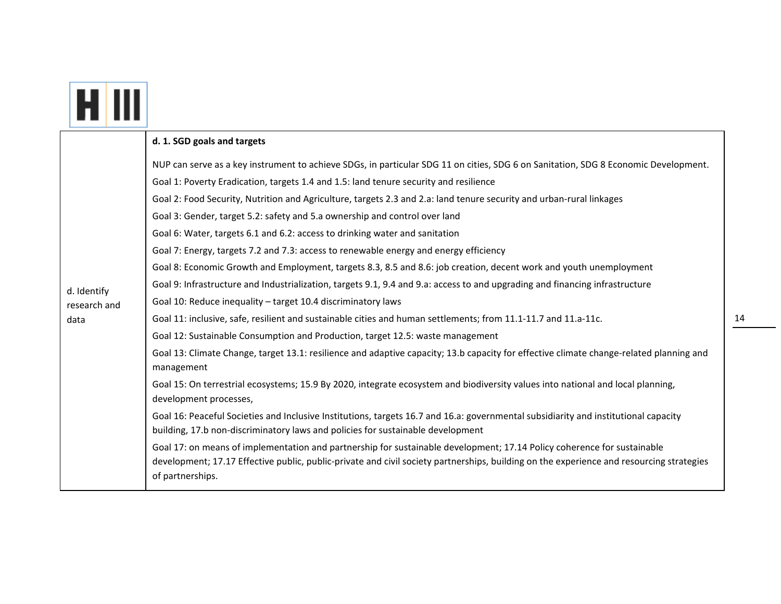|                                     | d. 1. SGD goals and targets                                                                                                                                                                                                                                                                                                                                                                                                                                                                                                                                                                                                                                                                                                                                                                                                                                                                                                                                                                                                                                                                                                                                                                                                                                                                                                                                                                                                                                                                                                                                                                                                                                                                                                                                                                                                                                                                                                                                                     |
|-------------------------------------|---------------------------------------------------------------------------------------------------------------------------------------------------------------------------------------------------------------------------------------------------------------------------------------------------------------------------------------------------------------------------------------------------------------------------------------------------------------------------------------------------------------------------------------------------------------------------------------------------------------------------------------------------------------------------------------------------------------------------------------------------------------------------------------------------------------------------------------------------------------------------------------------------------------------------------------------------------------------------------------------------------------------------------------------------------------------------------------------------------------------------------------------------------------------------------------------------------------------------------------------------------------------------------------------------------------------------------------------------------------------------------------------------------------------------------------------------------------------------------------------------------------------------------------------------------------------------------------------------------------------------------------------------------------------------------------------------------------------------------------------------------------------------------------------------------------------------------------------------------------------------------------------------------------------------------------------------------------------------------|
| d. Identify<br>research and<br>data | NUP can serve as a key instrument to achieve SDGs, in particular SDG 11 on cities, SDG 6 on Sanitation, SDG 8 Economic Development.<br>Goal 1: Poverty Eradication, targets 1.4 and 1.5: land tenure security and resilience<br>Goal 2: Food Security, Nutrition and Agriculture, targets 2.3 and 2.a: land tenure security and urban-rural linkages<br>Goal 3: Gender, target 5.2: safety and 5.a ownership and control over land<br>Goal 6: Water, targets 6.1 and 6.2: access to drinking water and sanitation<br>Goal 7: Energy, targets 7.2 and 7.3: access to renewable energy and energy efficiency<br>Goal 8: Economic Growth and Employment, targets 8.3, 8.5 and 8.6: job creation, decent work and youth unemployment<br>Goal 9: Infrastructure and Industrialization, targets 9.1, 9.4 and 9.a: access to and upgrading and financing infrastructure<br>Goal 10: Reduce inequality - target 10.4 discriminatory laws<br>Goal 11: inclusive, safe, resilient and sustainable cities and human settlements; from 11.1-11.7 and 11.a-11c.<br>Goal 12: Sustainable Consumption and Production, target 12.5: waste management<br>Goal 13: Climate Change, target 13.1: resilience and adaptive capacity; 13.b capacity for effective climate change-related planning and<br>management<br>Goal 15: On terrestrial ecosystems; 15.9 By 2020, integrate ecosystem and biodiversity values into national and local planning,<br>development processes,<br>Goal 16: Peaceful Societies and Inclusive Institutions, targets 16.7 and 16.a: governmental subsidiarity and institutional capacity<br>building, 17.b non-discriminatory laws and policies for sustainable development<br>Goal 17: on means of implementation and partnership for sustainable development; 17.14 Policy coherence for sustainable<br>development; 17.17 Effective public, public-private and civil society partnerships, building on the experience and resourcing strategies<br>of partnerships. |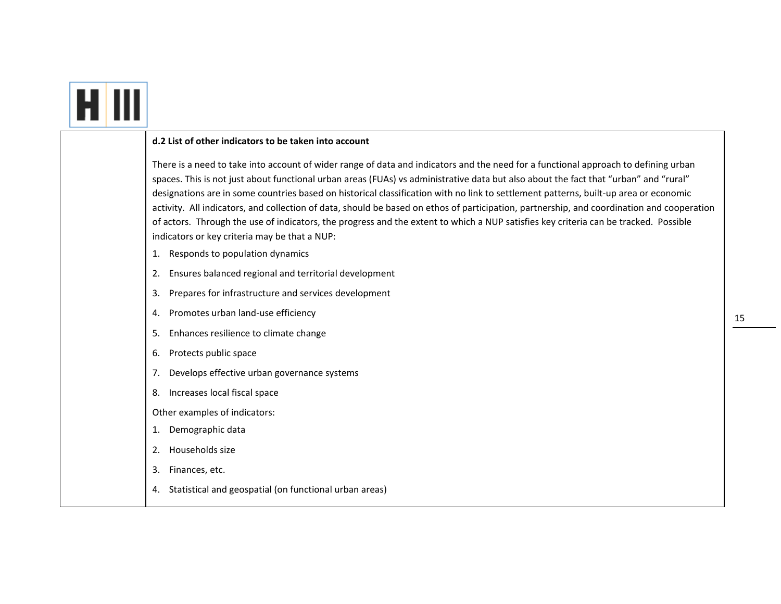|--|--|

#### **d.2 List of other indicators to be taken into account**

There is <sup>a</sup> need to take into account of wider range of data and indicators and the need for <sup>a</sup> functional approach to defining urban spaces. This is not just about functional urban areas (FUAs) vs administrative data but also about the fact that "urban" and "rural" designations are in some countries based on historical classification with no link to settlement patterns, built-up area or economic activity. All indicators, and collection of data, should be based on ethos of participation, partnership, and coordination and cooperation of actors. Through the use of indicators, the progress and the extent to which <sup>a</sup> NUP satisfies key criteria can be tracked. Possible indicators or key criteria may be that <sup>a</sup> NUP:

- 1. Responds to population dynamics
- 2. Ensures balanced regional and territorial development
- 3. Prepares for infrastructure and services development
- 4. Promotes urban land‐use efficiency
- 5. Enhances resilience to climate change
- 6. Protects public space
- 7. Develops effective urban governance systems
- 8. Increases local fiscal space
- Other examples of indicators:
- 1. Demographic data
- 2. Households size
- 3. Finances, etc.
- 4. Statistical and geospatial (on functional urban areas)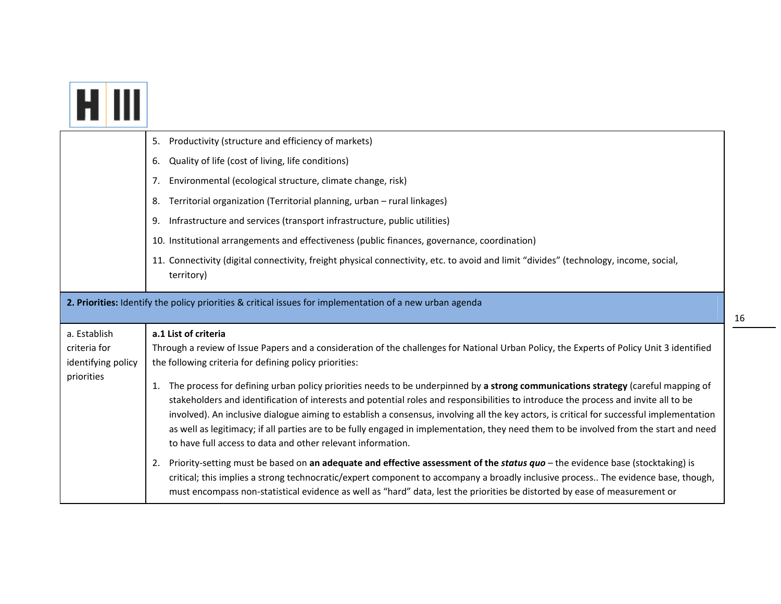|                                  | 5. Productivity (structure and efficiency of markets)                                                                                                                                                                                                                                                                                                                                                                                                                                                                                                                                                                         |
|----------------------------------|-------------------------------------------------------------------------------------------------------------------------------------------------------------------------------------------------------------------------------------------------------------------------------------------------------------------------------------------------------------------------------------------------------------------------------------------------------------------------------------------------------------------------------------------------------------------------------------------------------------------------------|
|                                  | Quality of life (cost of living, life conditions)<br>6.                                                                                                                                                                                                                                                                                                                                                                                                                                                                                                                                                                       |
|                                  | Environmental (ecological structure, climate change, risk)<br>7.                                                                                                                                                                                                                                                                                                                                                                                                                                                                                                                                                              |
|                                  | Territorial organization (Territorial planning, urban - rural linkages)<br>8.                                                                                                                                                                                                                                                                                                                                                                                                                                                                                                                                                 |
|                                  | Infrastructure and services (transport infrastructure, public utilities)<br>9.                                                                                                                                                                                                                                                                                                                                                                                                                                                                                                                                                |
|                                  | 10. Institutional arrangements and effectiveness (public finances, governance, coordination)                                                                                                                                                                                                                                                                                                                                                                                                                                                                                                                                  |
|                                  | 11. Connectivity (digital connectivity, freight physical connectivity, etc. to avoid and limit "divides" (technology, income, social,<br>territory)                                                                                                                                                                                                                                                                                                                                                                                                                                                                           |
|                                  | 2. Priorities: Identify the policy priorities & critical issues for implementation of a new urban agenda                                                                                                                                                                                                                                                                                                                                                                                                                                                                                                                      |
| a. Establish                     | a.1 List of criteria                                                                                                                                                                                                                                                                                                                                                                                                                                                                                                                                                                                                          |
| criteria for                     | Through a review of Issue Papers and a consideration of the challenges for National Urban Policy, the Experts of Policy Unit 3 identified                                                                                                                                                                                                                                                                                                                                                                                                                                                                                     |
| identifying policy<br>priorities | the following criteria for defining policy priorities:                                                                                                                                                                                                                                                                                                                                                                                                                                                                                                                                                                        |
|                                  |                                                                                                                                                                                                                                                                                                                                                                                                                                                                                                                                                                                                                               |
|                                  | The process for defining urban policy priorities needs to be underpinned by a strong communications strategy (careful mapping of<br>stakeholders and identification of interests and potential roles and responsibilities to introduce the process and invite all to be<br>involved). An inclusive dialogue aiming to establish a consensus, involving all the key actors, is critical for successful implementation<br>as well as legitimacy; if all parties are to be fully engaged in implementation, they need them to be involved from the start and need<br>to have full access to data and other relevant information. |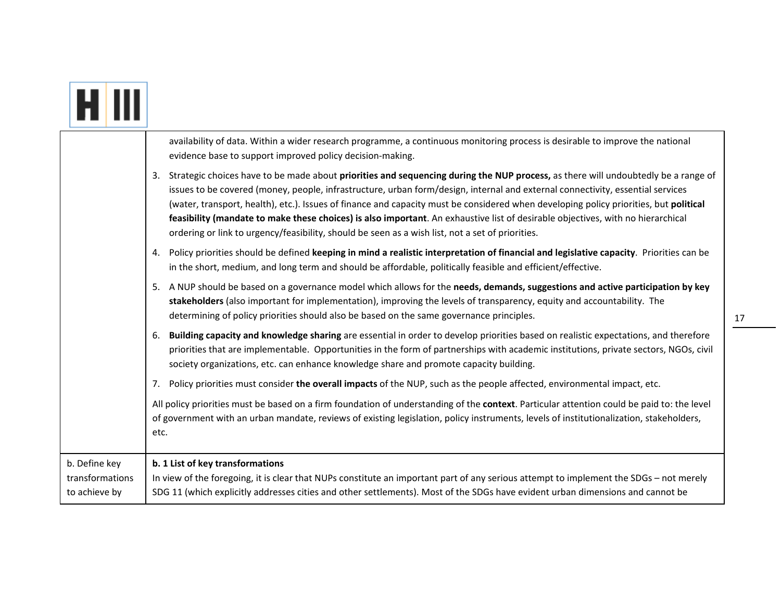|                                                   | availability of data. Within a wider research programme, a continuous monitoring process is desirable to improve the national<br>evidence base to support improved policy decision-making.                                                                                                                                                                                                                                                                                                                                                                                                                                                             |
|---------------------------------------------------|--------------------------------------------------------------------------------------------------------------------------------------------------------------------------------------------------------------------------------------------------------------------------------------------------------------------------------------------------------------------------------------------------------------------------------------------------------------------------------------------------------------------------------------------------------------------------------------------------------------------------------------------------------|
|                                                   | 3. Strategic choices have to be made about priorities and sequencing during the NUP process, as there will undoubtedly be a range of<br>issues to be covered (money, people, infrastructure, urban form/design, internal and external connectivity, essential services<br>(water, transport, health), etc.). Issues of finance and capacity must be considered when developing policy priorities, but political<br>feasibility (mandate to make these choices) is also important. An exhaustive list of desirable objectives, with no hierarchical<br>ordering or link to urgency/feasibility, should be seen as a wish list, not a set of priorities. |
|                                                   | Policy priorities should be defined keeping in mind a realistic interpretation of financial and legislative capacity. Priorities can be<br>4.<br>in the short, medium, and long term and should be affordable, politically feasible and efficient/effective.                                                                                                                                                                                                                                                                                                                                                                                           |
|                                                   | 5. A NUP should be based on a governance model which allows for the needs, demands, suggestions and active participation by key<br>stakeholders (also important for implementation), improving the levels of transparency, equity and accountability. The<br>determining of policy priorities should also be based on the same governance principles.                                                                                                                                                                                                                                                                                                  |
|                                                   | Building capacity and knowledge sharing are essential in order to develop priorities based on realistic expectations, and therefore<br>6.<br>priorities that are implementable. Opportunities in the form of partnerships with academic institutions, private sectors, NGOs, civil<br>society organizations, etc. can enhance knowledge share and promote capacity building.                                                                                                                                                                                                                                                                           |
|                                                   | Policy priorities must consider the overall impacts of the NUP, such as the people affected, environmental impact, etc.<br>7.                                                                                                                                                                                                                                                                                                                                                                                                                                                                                                                          |
|                                                   | All policy priorities must be based on a firm foundation of understanding of the context. Particular attention could be paid to: the level<br>of government with an urban mandate, reviews of existing legislation, policy instruments, levels of institutionalization, stakeholders,<br>etc.                                                                                                                                                                                                                                                                                                                                                          |
| b. Define key<br>transformations<br>to achieve by | b. 1 List of key transformations<br>In view of the foregoing, it is clear that NUPs constitute an important part of any serious attempt to implement the SDGs - not merely<br>SDG 11 (which explicitly addresses cities and other settlements). Most of the SDGs have evident urban dimensions and cannot be                                                                                                                                                                                                                                                                                                                                           |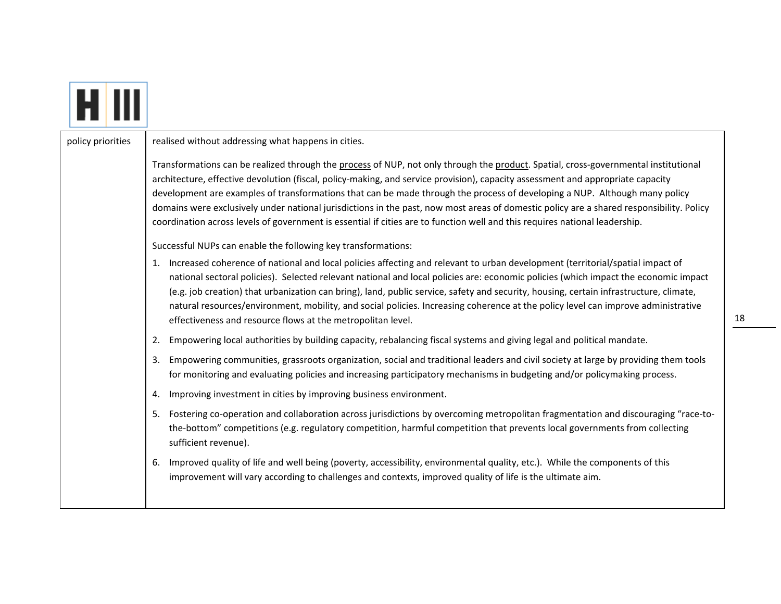policy priorities  $\parallel$  realised without addressing what happens in cities. Transformations can be realized through the process of NUP, not only through the product. Spatial, cross-governmental institutional architecture, effective devolution (fiscal, policy‐making, and service provision), capacity assessment and appropriate capacity development are examples of transformations that can be made through the process of developing <sup>a</sup> NUP. Although many policy domains were exclusively under national jurisdictions in the past, now most areas of domestic policy are <sup>a</sup> shared responsibility. Policy coordination across levels of government is essential if cities are to function well and this requires national leadership. Successful NUPs can enable the following key transformations: 1. Increased coherence of national and local policies affecting and relevant to urban development (territorial/spatial impact of national sectoral policies). Selected relevant national and local policies are: economic policies (which impact the economic impact (e.g. job creation) that urbanization can bring), land, public service, safety and security, housing, certain infrastructure, climate, natural resources/environment, mobility, and social policies. Increasing coherence at the policy level can improve administrative effectiveness and resource flows at the metropolitan level. 2. Empowering local authorities by building capacity, rebalancing fiscal systems and giving legal and political mandate. 3. Empowering communities, grassroots organization, social and traditional leaders and civil society at large by providing them tools for monitoring and evaluating policies and increasing participatory mechanisms in budgeting and/or policymaking process. 4. Improving investment in cities by improving business environment. 5. Fostering co-operation and collaboration across jurisdictions by overcoming metropolitan fragmentation and discouraging "race-tothe‐bottom" competitions (e.g. regulatory competition, harmful competition that prevents local governments from collecting sufficient revenue). 6. Improved quality of life and well being (poverty, accessibility, environmental quality, etc.). While the components of this improvement will vary according to challenges and contexts, improved quality of life is the ultimate aim.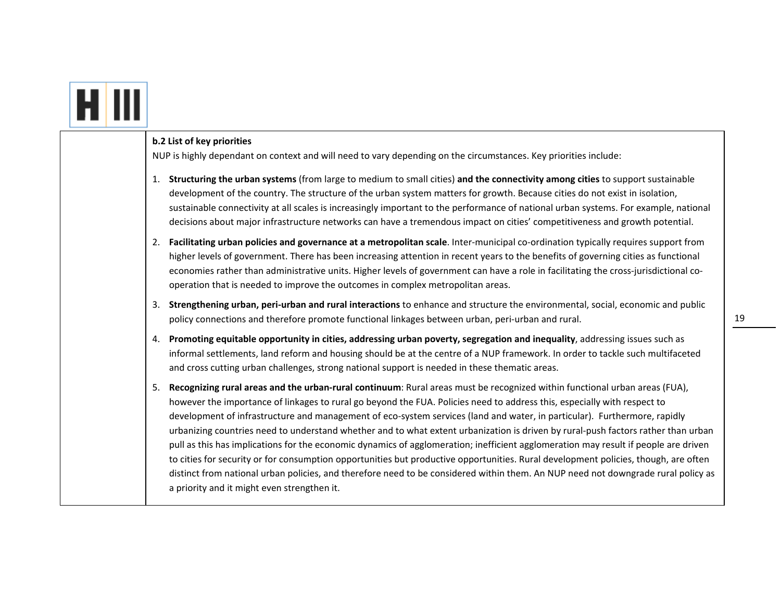| b.2 List of key priorities<br>NUP is highly dependant on context and will need to vary depending on the circumstances. Key priorities include:                                                                                                                                                                                                                                                                                                                                                                                                                                                                                                                                                                                                                                                                                                                                                                                                                                                   |
|--------------------------------------------------------------------------------------------------------------------------------------------------------------------------------------------------------------------------------------------------------------------------------------------------------------------------------------------------------------------------------------------------------------------------------------------------------------------------------------------------------------------------------------------------------------------------------------------------------------------------------------------------------------------------------------------------------------------------------------------------------------------------------------------------------------------------------------------------------------------------------------------------------------------------------------------------------------------------------------------------|
| 1. Structuring the urban systems (from large to medium to small cities) and the connectivity among cities to support sustainable<br>development of the country. The structure of the urban system matters for growth. Because cities do not exist in isolation,<br>sustainable connectivity at all scales is increasingly important to the performance of national urban systems. For example, national<br>decisions about major infrastructure networks can have a tremendous impact on cities' competitiveness and growth potential.                                                                                                                                                                                                                                                                                                                                                                                                                                                           |
| 2. Facilitating urban policies and governance at a metropolitan scale. Inter-municipal co-ordination typically requires support from<br>higher levels of government. There has been increasing attention in recent years to the benefits of governing cities as functional<br>economies rather than administrative units. Higher levels of government can have a role in facilitating the cross-jurisdictional co-<br>operation that is needed to improve the outcomes in complex metropolitan areas.                                                                                                                                                                                                                                                                                                                                                                                                                                                                                            |
| 3. Strengthening urban, peri-urban and rural interactions to enhance and structure the environmental, social, economic and public<br>policy connections and therefore promote functional linkages between urban, peri-urban and rural.                                                                                                                                                                                                                                                                                                                                                                                                                                                                                                                                                                                                                                                                                                                                                           |
| 4. Promoting equitable opportunity in cities, addressing urban poverty, segregation and inequality, addressing issues such as<br>informal settlements, land reform and housing should be at the centre of a NUP framework. In order to tackle such multifaceted<br>and cross cutting urban challenges, strong national support is needed in these thematic areas.                                                                                                                                                                                                                                                                                                                                                                                                                                                                                                                                                                                                                                |
| Recognizing rural areas and the urban-rural continuum: Rural areas must be recognized within functional urban areas (FUA),<br>5.<br>however the importance of linkages to rural go beyond the FUA. Policies need to address this, especially with respect to<br>development of infrastructure and management of eco-system services (land and water, in particular). Furthermore, rapidly<br>urbanizing countries need to understand whether and to what extent urbanization is driven by rural-push factors rather than urban<br>pull as this has implications for the economic dynamics of agglomeration; inefficient agglomeration may result if people are driven<br>to cities for security or for consumption opportunities but productive opportunities. Rural development policies, though, are often<br>distinct from national urban policies, and therefore need to be considered within them. An NUP need not downgrade rural policy as<br>a priority and it might even strengthen it. |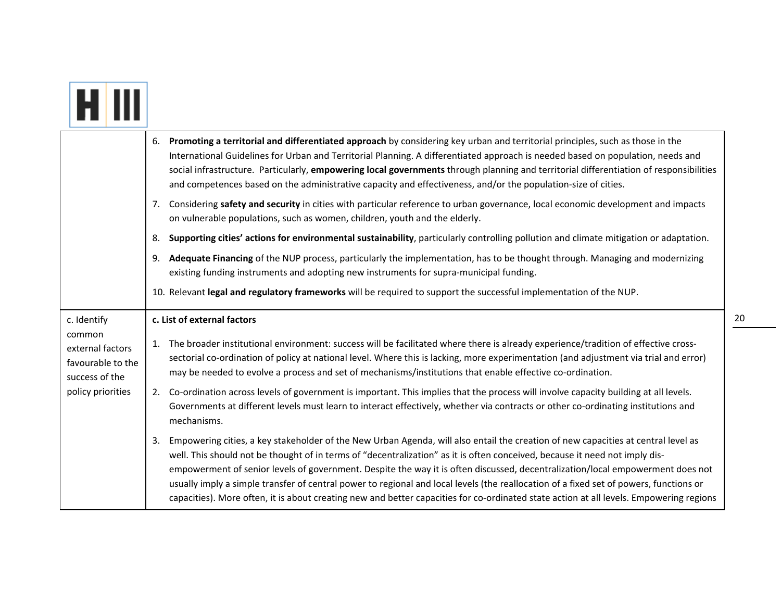|--|

|                                                                   | 6. Promoting a territorial and differentiated approach by considering key urban and territorial principles, such as those in the<br>International Guidelines for Urban and Territorial Planning. A differentiated approach is needed based on population, needs and<br>social infrastructure. Particularly, empowering local governments through planning and territorial differentiation of responsibilities<br>and competences based on the administrative capacity and effectiveness, and/or the population-size of cities.                                                                                                                                                                |
|-------------------------------------------------------------------|-----------------------------------------------------------------------------------------------------------------------------------------------------------------------------------------------------------------------------------------------------------------------------------------------------------------------------------------------------------------------------------------------------------------------------------------------------------------------------------------------------------------------------------------------------------------------------------------------------------------------------------------------------------------------------------------------|
|                                                                   | 7. Considering safety and security in cities with particular reference to urban governance, local economic development and impacts<br>on vulnerable populations, such as women, children, youth and the elderly.                                                                                                                                                                                                                                                                                                                                                                                                                                                                              |
|                                                                   | Supporting cities' actions for environmental sustainability, particularly controlling pollution and climate mitigation or adaptation.<br>8.                                                                                                                                                                                                                                                                                                                                                                                                                                                                                                                                                   |
|                                                                   | 9. Adequate Financing of the NUP process, particularly the implementation, has to be thought through. Managing and modernizing<br>existing funding instruments and adopting new instruments for supra-municipal funding.                                                                                                                                                                                                                                                                                                                                                                                                                                                                      |
|                                                                   | 10. Relevant legal and regulatory frameworks will be required to support the successful implementation of the NUP.                                                                                                                                                                                                                                                                                                                                                                                                                                                                                                                                                                            |
| c. Identify                                                       | c. List of external factors                                                                                                                                                                                                                                                                                                                                                                                                                                                                                                                                                                                                                                                                   |
| common<br>external factors<br>favourable to the<br>success of the | 1. The broader institutional environment: success will be facilitated where there is already experience/tradition of effective cross-<br>sectorial co-ordination of policy at national level. Where this is lacking, more experimentation (and adjustment via trial and error)<br>may be needed to evolve a process and set of mechanisms/institutions that enable effective co-ordination.                                                                                                                                                                                                                                                                                                   |
| policy priorities                                                 | 2. Co-ordination across levels of government is important. This implies that the process will involve capacity building at all levels.<br>Governments at different levels must learn to interact effectively, whether via contracts or other co-ordinating institutions and<br>mechanisms.                                                                                                                                                                                                                                                                                                                                                                                                    |
|                                                                   | Empowering cities, a key stakeholder of the New Urban Agenda, will also entail the creation of new capacities at central level as<br>3.<br>well. This should not be thought of in terms of "decentralization" as it is often conceived, because it need not imply dis-<br>empowerment of senior levels of government. Despite the way it is often discussed, decentralization/local empowerment does not<br>usually imply a simple transfer of central power to regional and local levels (the reallocation of a fixed set of powers, functions or<br>capacities). More often, it is about creating new and better capacities for co-ordinated state action at all levels. Empowering regions |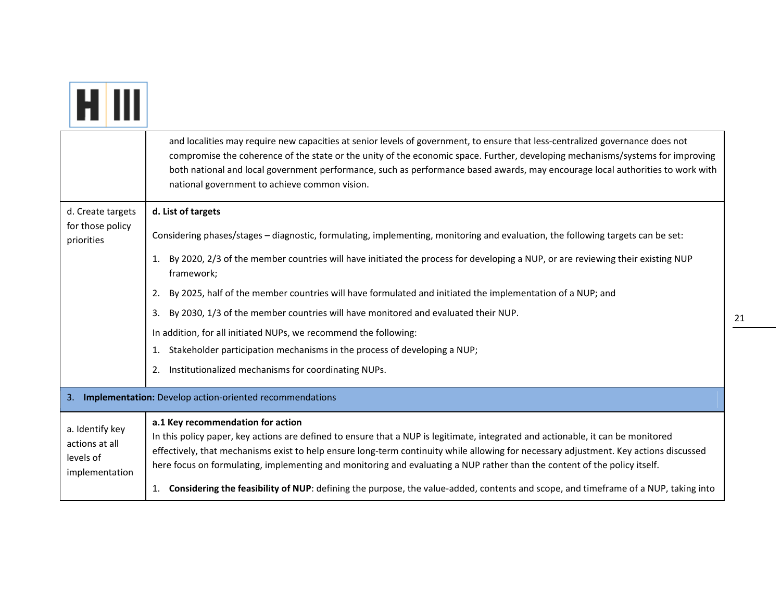|                                                                  | and localities may require new capacities at senior levels of government, to ensure that less-centralized governance does not<br>compromise the coherence of the state or the unity of the economic space. Further, developing mechanisms/systems for improving<br>both national and local government performance, such as performance based awards, may encourage local authorities to work with<br>national government to achieve common vision.                                                                                                                                   |  |
|------------------------------------------------------------------|--------------------------------------------------------------------------------------------------------------------------------------------------------------------------------------------------------------------------------------------------------------------------------------------------------------------------------------------------------------------------------------------------------------------------------------------------------------------------------------------------------------------------------------------------------------------------------------|--|
| d. Create targets                                                | d. List of targets                                                                                                                                                                                                                                                                                                                                                                                                                                                                                                                                                                   |  |
| for those policy<br>priorities                                   | Considering phases/stages - diagnostic, formulating, implementing, monitoring and evaluation, the following targets can be set:                                                                                                                                                                                                                                                                                                                                                                                                                                                      |  |
|                                                                  | By 2020, 2/3 of the member countries will have initiated the process for developing a NUP, or are reviewing their existing NUP<br>1.<br>framework;                                                                                                                                                                                                                                                                                                                                                                                                                                   |  |
|                                                                  | By 2025, half of the member countries will have formulated and initiated the implementation of a NUP; and<br>2.                                                                                                                                                                                                                                                                                                                                                                                                                                                                      |  |
|                                                                  | By 2030, 1/3 of the member countries will have monitored and evaluated their NUP.<br>3.                                                                                                                                                                                                                                                                                                                                                                                                                                                                                              |  |
|                                                                  | In addition, for all initiated NUPs, we recommend the following:                                                                                                                                                                                                                                                                                                                                                                                                                                                                                                                     |  |
|                                                                  | Stakeholder participation mechanisms in the process of developing a NUP;<br>1.                                                                                                                                                                                                                                                                                                                                                                                                                                                                                                       |  |
|                                                                  | Institutionalized mechanisms for coordinating NUPs.<br>2.                                                                                                                                                                                                                                                                                                                                                                                                                                                                                                                            |  |
| 3. Implementation: Develop action-oriented recommendations       |                                                                                                                                                                                                                                                                                                                                                                                                                                                                                                                                                                                      |  |
| a. Identify key<br>actions at all<br>levels of<br>implementation | a.1 Key recommendation for action<br>In this policy paper, key actions are defined to ensure that a NUP is legitimate, integrated and actionable, it can be monitored<br>effectively, that mechanisms exist to help ensure long-term continuity while allowing for necessary adjustment. Key actions discussed<br>here focus on formulating, implementing and monitoring and evaluating a NUP rather than the content of the policy itself.<br>1. Considering the feasibility of NUP: defining the purpose, the value-added, contents and scope, and timeframe of a NUP, taking into |  |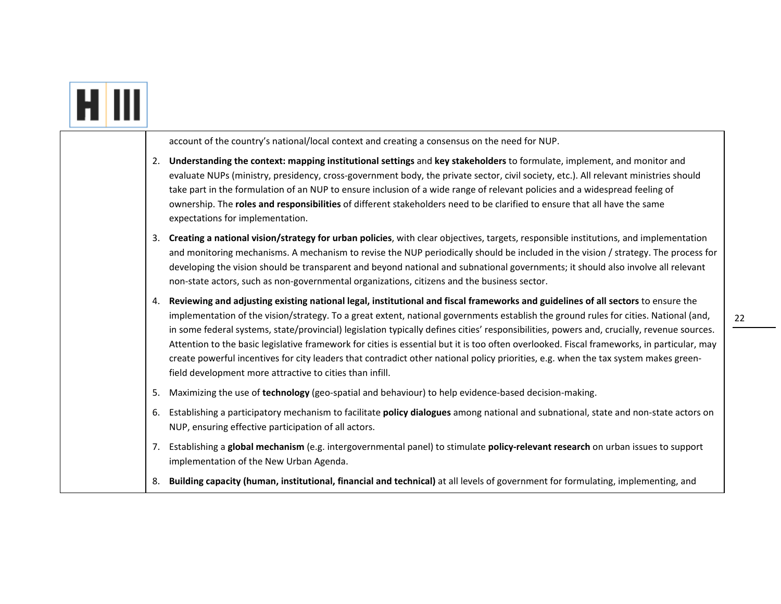| account of the country's national/local context and creating a consensus on the need for NUP.                                                                                                                                                                                                                                                                                                                                                                                                                                                                                                                                                                                                                                                                                 |
|-------------------------------------------------------------------------------------------------------------------------------------------------------------------------------------------------------------------------------------------------------------------------------------------------------------------------------------------------------------------------------------------------------------------------------------------------------------------------------------------------------------------------------------------------------------------------------------------------------------------------------------------------------------------------------------------------------------------------------------------------------------------------------|
| Understanding the context: mapping institutional settings and key stakeholders to formulate, implement, and monitor and<br>2.<br>evaluate NUPs (ministry, presidency, cross-government body, the private sector, civil society, etc.). All relevant ministries should<br>take part in the formulation of an NUP to ensure inclusion of a wide range of relevant policies and a widespread feeling of<br>ownership. The roles and responsibilities of different stakeholders need to be clarified to ensure that all have the same<br>expectations for implementation.                                                                                                                                                                                                         |
| Creating a national vision/strategy for urban policies, with clear objectives, targets, responsible institutions, and implementation<br>3.<br>and monitoring mechanisms. A mechanism to revise the NUP periodically should be included in the vision / strategy. The process for<br>developing the vision should be transparent and beyond national and subnational governments; it should also involve all relevant<br>non-state actors, such as non-governmental organizations, citizens and the business sector.                                                                                                                                                                                                                                                           |
| Reviewing and adjusting existing national legal, institutional and fiscal frameworks and guidelines of all sectors to ensure the<br>4.<br>implementation of the vision/strategy. To a great extent, national governments establish the ground rules for cities. National (and,<br>in some federal systems, state/provincial) legislation typically defines cities' responsibilities, powers and, crucially, revenue sources.<br>Attention to the basic legislative framework for cities is essential but it is too often overlooked. Fiscal frameworks, in particular, may<br>create powerful incentives for city leaders that contradict other national policy priorities, e.g. when the tax system makes green-<br>field development more attractive to cities than infill. |
| Maximizing the use of technology (geo-spatial and behaviour) to help evidence-based decision-making.<br>5.                                                                                                                                                                                                                                                                                                                                                                                                                                                                                                                                                                                                                                                                    |
| Establishing a participatory mechanism to facilitate policy dialogues among national and subnational, state and non-state actors on<br>6.<br>NUP, ensuring effective participation of all actors.                                                                                                                                                                                                                                                                                                                                                                                                                                                                                                                                                                             |
| Establishing a global mechanism (e.g. intergovernmental panel) to stimulate policy-relevant research on urban issues to support<br>7.<br>implementation of the New Urban Agenda.                                                                                                                                                                                                                                                                                                                                                                                                                                                                                                                                                                                              |
| 8. Building capacity (human, institutional, financial and technical) at all levels of government for formulating, implementing, and                                                                                                                                                                                                                                                                                                                                                                                                                                                                                                                                                                                                                                           |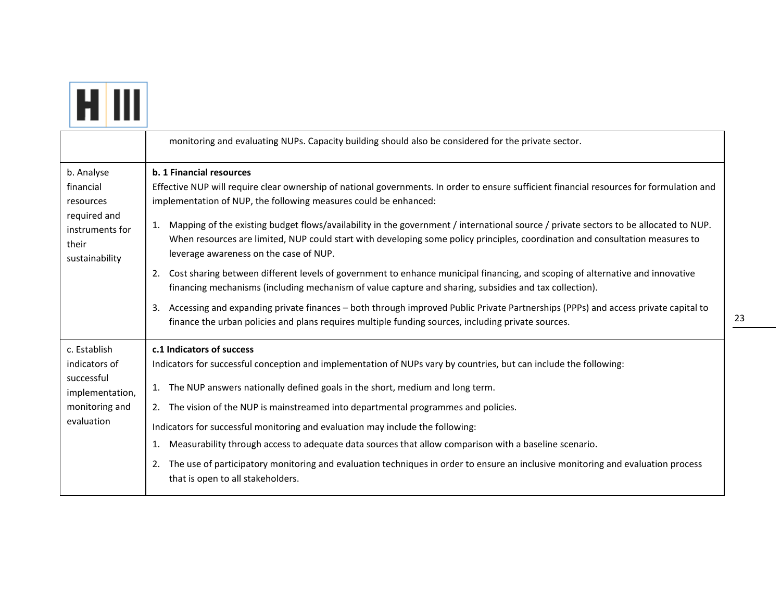

|                                                                                                    | monitoring and evaluating NUPs. Capacity building should also be considered for the private sector.                                                                                                                                                                                                                                                                                                                                                                                                                                                                                                                                                                                                        |
|----------------------------------------------------------------------------------------------------|------------------------------------------------------------------------------------------------------------------------------------------------------------------------------------------------------------------------------------------------------------------------------------------------------------------------------------------------------------------------------------------------------------------------------------------------------------------------------------------------------------------------------------------------------------------------------------------------------------------------------------------------------------------------------------------------------------|
| b. Analyse<br>financial<br>resources<br>required and<br>instruments for<br>their<br>sustainability | b. 1 Financial resources<br>Effective NUP will require clear ownership of national governments. In order to ensure sufficient financial resources for formulation and<br>implementation of NUP, the following measures could be enhanced:<br>Mapping of the existing budget flows/availability in the government / international source / private sectors to be allocated to NUP.<br>1.<br>When resources are limited, NUP could start with developing some policy principles, coordination and consultation measures to<br>leverage awareness on the case of NUP.<br>Cost sharing between different levels of government to enhance municipal financing, and scoping of alternative and innovative<br>2.  |
|                                                                                                    | financing mechanisms (including mechanism of value capture and sharing, subsidies and tax collection).<br>Accessing and expanding private finances – both through improved Public Private Partnerships (PPPs) and access private capital to<br>3.<br>finance the urban policies and plans requires multiple funding sources, including private sources.                                                                                                                                                                                                                                                                                                                                                    |
| c. Establish<br>indicators of<br>successful<br>implementation,<br>monitoring and<br>evaluation     | c.1 Indicators of success<br>Indicators for successful conception and implementation of NUPs vary by countries, but can include the following:<br>1. The NUP answers nationally defined goals in the short, medium and long term.<br>The vision of the NUP is mainstreamed into departmental programmes and policies.<br>2.<br>Indicators for successful monitoring and evaluation may include the following:<br>Measurability through access to adequate data sources that allow comparison with a baseline scenario.<br>1.<br>The use of participatory monitoring and evaluation techniques in order to ensure an inclusive monitoring and evaluation process<br>2.<br>that is open to all stakeholders. |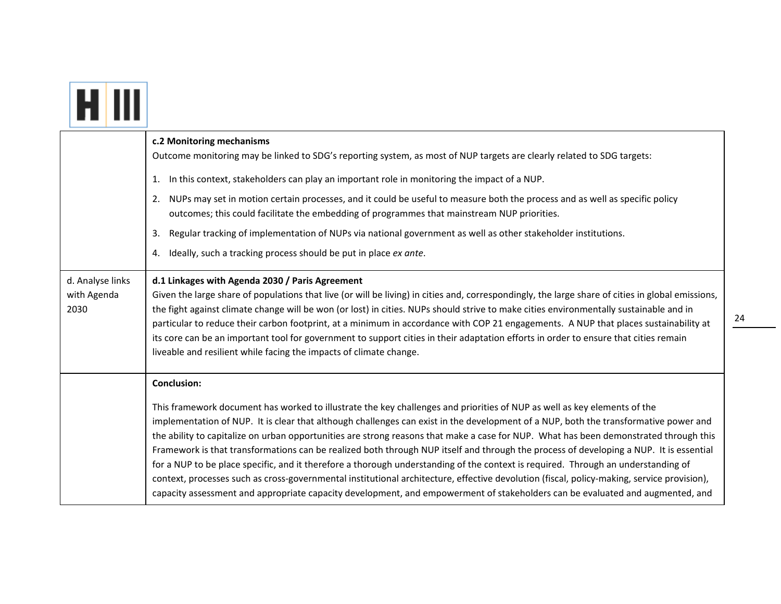|                                         | c.2 Monitoring mechanisms<br>Outcome monitoring may be linked to SDG's reporting system, as most of NUP targets are clearly related to SDG targets:<br>1. In this context, stakeholders can play an important role in monitoring the impact of a NUP.<br>NUPs may set in motion certain processes, and it could be useful to measure both the process and as well as specific policy<br>2.<br>outcomes; this could facilitate the embedding of programmes that mainstream NUP priorities.<br>Regular tracking of implementation of NUPs via national government as well as other stakeholder institutions.<br>3.<br>Ideally, such a tracking process should be put in place ex ante.<br>4.                                                                                                                                                                                                                                                                                                    |
|-----------------------------------------|-----------------------------------------------------------------------------------------------------------------------------------------------------------------------------------------------------------------------------------------------------------------------------------------------------------------------------------------------------------------------------------------------------------------------------------------------------------------------------------------------------------------------------------------------------------------------------------------------------------------------------------------------------------------------------------------------------------------------------------------------------------------------------------------------------------------------------------------------------------------------------------------------------------------------------------------------------------------------------------------------|
| d. Analyse links<br>with Agenda<br>2030 | d.1 Linkages with Agenda 2030 / Paris Agreement<br>Given the large share of populations that live (or will be living) in cities and, correspondingly, the large share of cities in global emissions,<br>the fight against climate change will be won (or lost) in cities. NUPs should strive to make cities environmentally sustainable and in<br>particular to reduce their carbon footprint, at a minimum in accordance with COP 21 engagements. A NUP that places sustainability at<br>its core can be an important tool for government to support cities in their adaptation efforts in order to ensure that cities remain<br>liveable and resilient while facing the impacts of climate change.                                                                                                                                                                                                                                                                                          |
|                                         | <b>Conclusion:</b><br>This framework document has worked to illustrate the key challenges and priorities of NUP as well as key elements of the<br>implementation of NUP. It is clear that although challenges can exist in the development of a NUP, both the transformative power and<br>the ability to capitalize on urban opportunities are strong reasons that make a case for NUP. What has been demonstrated through this<br>Framework is that transformations can be realized both through NUP itself and through the process of developing a NUP. It is essential<br>for a NUP to be place specific, and it therefore a thorough understanding of the context is required. Through an understanding of<br>context, processes such as cross-governmental institutional architecture, effective devolution (fiscal, policy-making, service provision),<br>capacity assessment and appropriate capacity development, and empowerment of stakeholders can be evaluated and augmented, and |

┯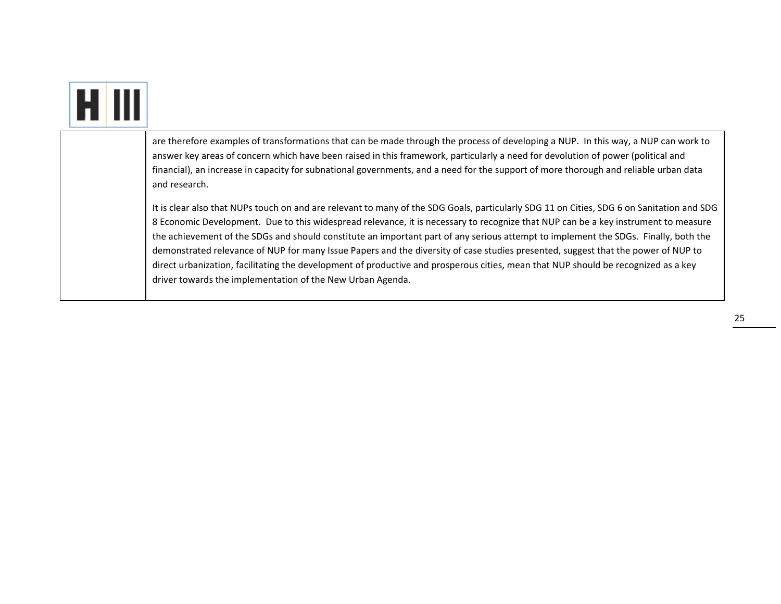|  | are therefore examples of transformations that can be made through the process of developing a NUP. In this way, a NUP can work to<br>answer key areas of concern which have been raised in this framework, particularly a need for devolution of power (political and<br>financial), an increase in capacity for subnational governments, and a need for the support of more thorough and reliable urban data<br>and research.                                                                                                                                                                                                                                                                                                                                 |
|--|-----------------------------------------------------------------------------------------------------------------------------------------------------------------------------------------------------------------------------------------------------------------------------------------------------------------------------------------------------------------------------------------------------------------------------------------------------------------------------------------------------------------------------------------------------------------------------------------------------------------------------------------------------------------------------------------------------------------------------------------------------------------|
|  | It is clear also that NUPs touch on and are relevant to many of the SDG Goals, particularly SDG 11 on Cities, SDG 6 on Sanitation and SDG<br>8 Economic Development. Due to this widespread relevance, it is necessary to recognize that NUP can be a key instrument to measure<br>the achievement of the SDGs and should constitute an important part of any serious attempt to implement the SDGs. Finally, both the<br>demonstrated relevance of NUP for many Issue Papers and the diversity of case studies presented, suggest that the power of NUP to<br>direct urbanization, facilitating the development of productive and prosperous cities, mean that NUP should be recognized as a key<br>driver towards the implementation of the New Urban Agenda. |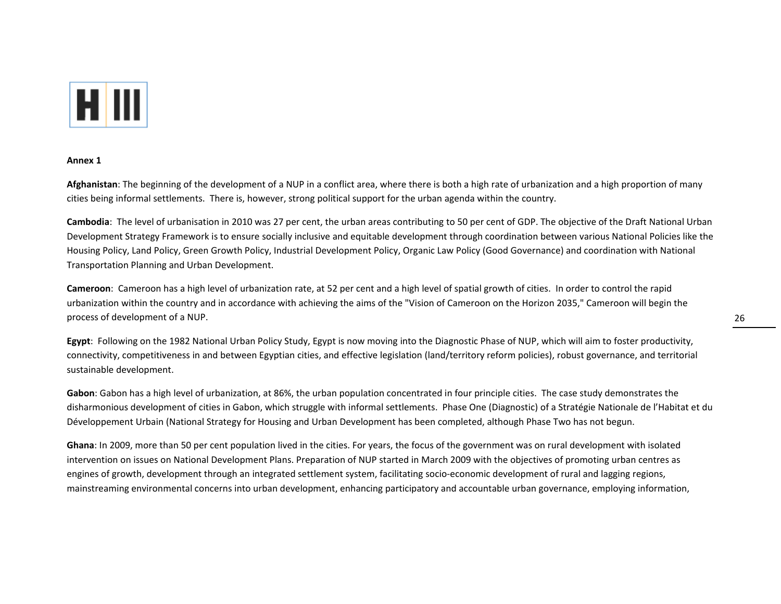

#### **Annex 1**

**Afghanistan**: The beginning of the development of <sup>a</sup> NUP in <sup>a</sup> conflict area, where there is both <sup>a</sup> high rate of urbanization and <sup>a</sup> high proportion of many cities being informal settlements. There is, however, strong political support for the urban agenda within the country.

**Cambodia**: The level of urbanisation in 2010 was 27 per cent, the urban areas contributing to 50 per cent of GDP. The objective of the Draft National Urban Development Strategy Framework is to ensure socially inclusive and equitable development through coordination between various National Policies like the Housing Policy, Land Policy, Green Growth Policy, Industrial Development Policy, Organic Law Policy (Good Governance) and coordination with National Transportation Planning and Urban Development.

**Cameroon**: Cameroon has <sup>a</sup> high level of urbanization rate, at 52 per cent and <sup>a</sup> high level of spatial growth of cities. In order to control the rapid urbanization within the country and in accordance with achieving the aims of the "Vision of Cameroon on the Horizon 2035," Cameroon will begin the process of development of <sup>a</sup> NUP.

**Egypt**: Following on the 1982 National Urban Policy Study, Egypt is now moving into the Diagnostic Phase of NUP, which will aim to foster productivity, connectivity, competitiveness in and between Egyptian cities, and effective legislation (land/territory reform policies), robust governance, and territorial sustainable development.

**Gabon**: Gabon has <sup>a</sup> high level of urbanization, at 86%, the urban population concentrated in four principle cities. The case study demonstrates the disharmonious development of cities in Gabon, which struggle with informal settlements. Phase One (Diagnostic) of <sup>a</sup> Stratégie Nationale de l'Habitat et du Développement Urbain (National Strategy for Housing and Urban Development has been completed, although Phase Two has not begun.

**Ghana**: In 2009, more than 50 per cent population lived in the cities. For years, the focus of the government was on rural development with isolated intervention on issues on National Development Plans. Preparation of NUP started in March 2009 with the objectives of promoting urban centres as engines of growth, development through an integrated settlement system, facilitating socio‐economic development of rural and lagging regions, mainstreaming environmental concerns into urban development, enhancing participatory and accountable urban governance, employing information,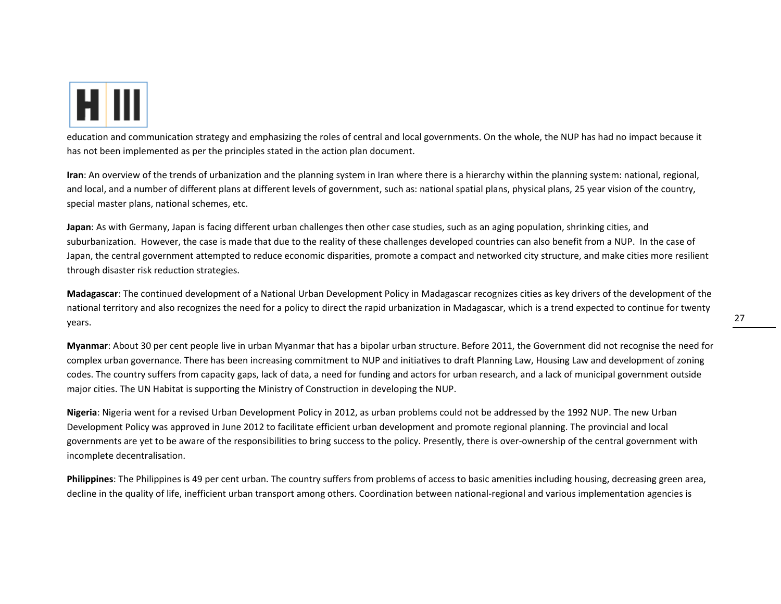

education and communication strategy and emphasizing the roles of central and local governments. On the whole, the NUP has had no impact because it has not been implemented as per the principles stated in the action plan document.

**Iran**: An overview of the trends of urbanization and the planning system in Iran where there is <sup>a</sup> hierarchy within the planning system: national, regional, and local, and <sup>a</sup> number of different plans at different levels of government, such as: national spatial plans, physical plans, 25 year vision of the country, special master plans, national schemes, etc.

**Japan**: As with Germany, Japan is facing different urban challenges then other case studies, such as an aging population, shrinking cities, and suburbanization. However, the case is made that due to the reality of these challenges developed countries can also benefit from <sup>a</sup> NUP. In the case of Japan, the central government attempted to reduce economic disparities, promote <sup>a</sup> compact and networked city structure, and make cities more resilient through disaster risk reduction strategies.

**Madagascar**: The continued development of <sup>a</sup> National Urban Development Policy in Madagascar recognizes cities as key drivers of the development of the national territory and also recognizes the need for <sup>a</sup> policy to direct the rapid urbanization in Madagascar, which is <sup>a</sup> trend expected to continue for twenty years.

**Myanmar**: About 30 per cent people live in urban Myanmar that has <sup>a</sup> bipolar urban structure. Before 2011, the Government did not recognise the need for complex urban governance. There has been increasing commitment to NUP and initiatives to draft Planning Law, Housing Law and development of zoning codes. The country suffers from capacity gaps, lack of data, <sup>a</sup> need for funding and actors for urban research, and <sup>a</sup> lack of municipal government outside major cities. The UN Habitat is supporting the Ministry of Construction in developing the NUP.

**Nigeria**: Nigeria went for <sup>a</sup> revised Urban Development Policy in 2012, as urban problems could not be addressed by the 1992 NUP. The new Urban Development Policy was approved in June 2012 to facilitate efficient urban development and promote regional planning. The provincial and local governments are yet to be aware of the responsibilities to bring success to the policy. Presently, there is over-ownership of the central government with incomplete decentralisation.

**Philippines**: The Philippines is 49 per cent urban. The country suffers from problems of access to basic amenities including housing, decreasing green area, decline in the quality of life, inefficient urban transport among others. Coordination between national‐regional and various implementation agencies is